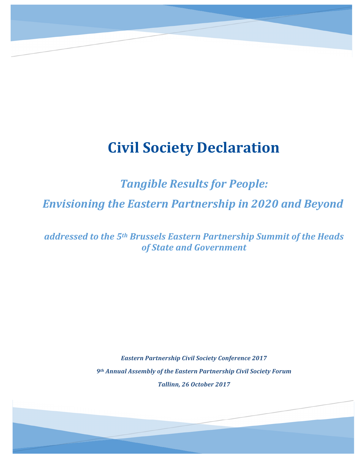# **Civil Society Declaration**

**Tangible Results for People:** 

*Envisioning)the)Eastern)Partnership)in)2020)and)Beyond*

addressed to the 5<sup>th</sup> Brussels Eastern Partnership Summit of the Heads *of)State)and)Government*

> *Eastern)Partnership)Civil)Society)Conference)2017 9th Annual)Assembly)of)the)Eastern)Partnership)Civil)Society)Forum Tallinn,)26)October)2017*

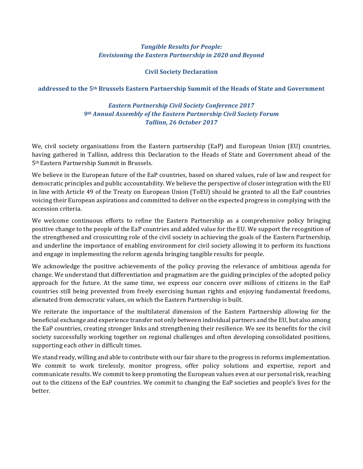## **Tangible Results for People:** *Envisioning)the)Eastern)Partnership)in)2020)and)Beyond*

## **Civil Society Declaration**

#### **addressed%to%the%5th Brussels%Eastern%Partnership%Summit%of%the%Heads%of%State%and%Government**

## *Eastern)Partnership)Civil)Society)Conference)2017 9th Annual)Assembly)of)the)Eastern)Partnership)Civil)Society)Forum Tallinn,)26)October)2017*

We, civil society organisations from the Eastern partnership (EaP) and European Union (EU) countries, having gathered in Tallinn, address this Declaration to the Heads of State and Government ahead of the 5<sup>th</sup> Eastern Partnership Summit in Brussels.

We believe in the European future of the EaP countries, based on shared values, rule of law and respect for democratic principles and public accountability. We believe the perspective of closer integration with the EU in line with Article 49 of the Treaty on European Union (ToEU) should be granted to all the EaP countries voicing their European aspirations and committed to deliver on the expected progress in complying with the accession criteria.

We welcome continuous efforts to refine the Eastern Partnership as a comprehensive policy bringing positive change to the people of the EaP countries and added value for the EU. We support the recognition of the strengthened and crosscutting role of the civil society in achieving the goals of the Eastern Partnership, and underline the importance of enabling environment for civil society allowing it to perform its functions and engage in implementing the reform agenda bringing tangible results for people.

We acknowledge the positive achievements of the policy proving the relevance of ambitious agenda for change. We understand that differentiation and pragmatism are the guiding principles of the adopted policy approach for the future. At the same time, we express our concern over millions of citizens in the EaP countries still being prevented from freely exercising human rights and enjoying fundamental freedoms, alienated from democratic values, on which the Eastern Partnership is built.

We reiterate the importance of the multilateral dimension of the Eastern Partnership allowing for the beneficial exchange and experience transfer not only between individual partners and the EU, but also among the EaP countries, creating stronger links and strengthening their resilience. We see its benefits for the civil society successfully working together on regional challenges and often developing consolidated positions, supporting each other in difficult times.

We stand ready, willing and able to contribute with our fair share to the progress in reforms implementation. We commit to work tirelessly, monitor progress, offer policy solutions and expertise, report and communicate results. We commit to keep promoting the European values even at our personal risk, reaching out to the citizens of the EaP countries. We commit to changing the EaP societies and people's lives for the better.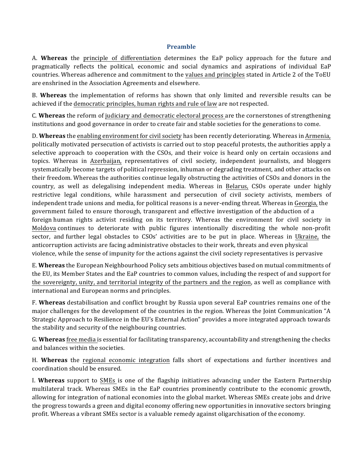#### **Preamble**

A. Whereas the principle of differentiation determines the EaP policy approach for the future and pragmatically reflects the political, economic and social dynamics and aspirations of individual EaP countries. Whereas adherence and commitment to the values and principles stated in Article 2 of the ToEU are enshrined in the Association Agreements and elsewhere.

B. **Whereas** the implementation of reforms has shown that only limited and reversible results can be achieved if the democratic principles, human rights and rule of law are not respected.

C. **Whereas** the reform of judiciary and democratic electoral process are the cornerstones of strengthening institutions and good governance in order to create fair and stable societies for the generations to come.

D. **Whereas** the enabling environment for civil society has been recently deteriorating. Whereas in Armenia, politically motivated persecution of activists is carried out to stop peaceful protests, the authorities apply a selective approach to cooperation with the CSOs, and their voice is heard only on certain occasions and topics. Whereas in Azerbaijan, representatives of civil society, independent journalists, and bloggers systematically become targets of political repression, inhuman or degrading treatment, and other attacks on their freedom. Whereas the authorities continue legally obstructing the activities of CSOs and donors in the country, as well as delegalising independent media. Whereas in Belarus, CSOs operate under highly restrictive legal conditions, while harassment and persecution of civil society activists, members of independent trade unions and media, for political reasons is a never-ending threat. Whereas in Georgia, the government failed to ensure thorough, transparent and effective investigation of the abduction of a foreign human rights activist residing on its territory. Whereas the environment for civil society in Moldova continues to deteriorate with public figures intentionally discrediting the whole non-profit sector, and further legal obstacles to CSOs' activities are to be put in place. Whereas in Ukraine, the anticorruption activists are facing administrative obstacles to their work, threats and even physical violence, while the sense of impunity for the actions against the civil society representatives is pervasive

E. Whereas the European Neighbourhood Policy sets ambitious objectives based on mutual commitments of the EU, its Member States and the EaP countries to common values, including the respect of and support for the sovereignty, unity, and territorial integrity of the partners and the region, as well as compliance with international and European norms and principles.

F. **Whereas** destabilisation and conflict brought by Russia upon several EaP countries remains one of the! major challenges for the development of the countries in the region. Whereas the Joint Communication "A" Strategic Approach to Resilience in the EU's External Action" provides a more integrated approach towards the stability and security of the neighbouring countries.

G. **Whereas** free media is essential for facilitating transparency, accountability and strengthening the checks and balances within the societies.

H. **Whereas** the regional economic integration falls short of expectations and further incentives and coordination should be ensured.

I. Whereas support to SMEs is one of the flagship initiatives advancing under the Eastern Partnership multilateral track. Whereas SMEs in the EaP countries prominently contribute to the economic growth, allowing for integration of national economies into the global market. Whereas SMEs create jobs and drive the progress towards a green and digital economy offering new opportunities in innovative sectors bringing profit. Whereas a vibrant SMEs sector is a valuable remedy against oligarchisation of the economy.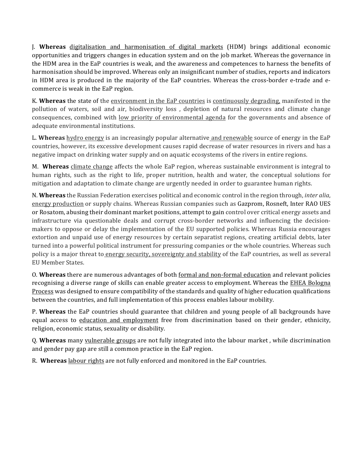J. **Whereas** digitalisation and harmonisation of digital markets (HDM) brings additional economic opportunities and triggers changes in education system and on the job market. Whereas the governance in the HDM area in the EaP countries is weak, and the awareness and competences to harness the benefits of harmonisation should be improved. Whereas only an insignificant number of studies, reports and indicators in HDM area is produced in the majority of the EaP countries. Whereas the cross-border e-trade and ecommerce is weak in the EaP region.

K. Whereas the state of the environment in the EaP countries is continuously degrading, manifested in the pollution of waters, soil and air, biodiversity loss, depletion of natural resources and climate change consequences, combined with <u>low priority of environmental agenda</u> for the governments and absence of adequate environmental institutions.

L. Whereas hydro energy is an increasingly popular alternative and renewable source of energy in the EaP countries, however, its excessive development causes rapid decrease of water resources in rivers and has a negative impact on drinking water supply and on aquatic ecosystems of the rivers in entire regions.

M. **Whereas** climate change affects the whole EaP region, whereas sustainable environment is integral to human rights, such as the right to life, proper nutrition, health and water, the conceptual solutions for mitigation and adaptation to climate change are urgently needed in order to guarantee human rights.

N. Whereas the Russian Federation exercises political and economic control in the region through, *inter alia*, energy production or supply chains. Whereas Russian companies such as Gazprom, Rosneft, Inter RAO UES or Rosatom, abusing their dominant market positions, attempt to gain control over critical energy assets and infrastructure via questionable deals and corrupt cross-border networks and influencing the decisionmakers to oppose or delay the implementation of the EU supported policies. Whereas Russia encourages extortion and unpaid use of energy resources by certain separatist regions, creating artificial debts, later turned into a powerful political instrument for pressuring companies or the whole countries. Whereas such policy is a major threat to energy security, sovereignty and stability of the EaP countries, as well as several EU Member States.

**O. Whereas** there are numerous advantages of both formal and non-formal education and relevant policies recognising a diverse range of skills can enable greater access to employment. Whereas the **EHEA Bologna** Process was designed to ensure compatibility of the standards and quality of higher education qualifications between the countries, and full implementation of this process enables labour mobility.

P. Whereas the EaP countries should guarantee that children and young people of all backgrounds have equal access to education and employment free from discrimination based on their gender, ethnicity, religion, economic status, sexuality or disability.

Q. Whereas many vulnerable groups are not fully integrated into the labour market, while discrimination and gender pay gap are still a common practice in the EaP region.

R. Whereas labour rights are not fully enforced and monitored in the EaP countries.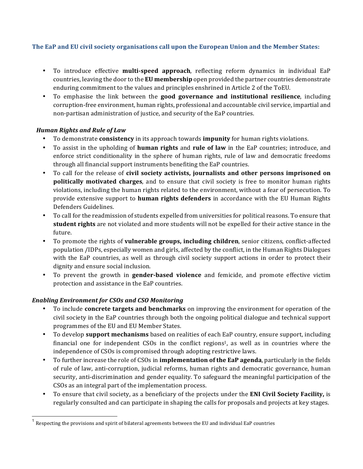# The EaP and EU civil society organisations call upon the European Union and the Member States:

- To introduce effective **multi-speed approach**, reflecting reform dynamics in individual EaP countries, leaving the door to the **EU membership** open provided the partner countries demonstrate enduring commitment to the values and principles enshrined in Article 2 of the ToEU.
- To emphasise the link between the **good governance and institutional resilience**, including corruption-free environment, human rights, professional and accountable civil service, impartial and non-partisan administration of justice, and security of the EaP countries.

# **Human Rights and Rule of Law**

- To demonstrate **consistency** in its approach towards **impunity** for human rights violations.
- To assist in the upholding of **human rights** and **rule of law** in the EaP countries; introduce, and enforce strict conditionality in the sphere of human rights, rule of law and democratic freedoms through all financial support instruments benefiting the EaP countries.
- To call for the release of **civil society activists, journalists and other persons imprisoned on politically motivated charges**, and to ensure that civil society is free to monitor human rights violations, including the human rights related to the environment, without a fear of persecution. To provide extensive support to human rights defenders in accordance with the EU Human Rights Defenders Guidelines.
- To call for the readmission of students expelled from universities for political reasons. To ensure that **student rights** are not violated and more students will not be expelled for their active stance in the future.
- To promote the rights of **vulnerable groups, including children**, senior citizens, conflict-affected population /IDPs, especially women and girls, affected by the conflict, in the Human Rights Dialogues with the EaP countries, as well as through civil society support actions in order to protect their dignity and ensure social inclusion.
- To prevent the growth in **gender-based violence** and femicide, and promote effective victim protection and assistance in the EaP countries.

## **Enabling Environment for CSOs and CSO Monitoring**

- To include **concrete targets and benchmarks** on improving the environment for operation of the civil society in the EaP countries through both the ongoing political dialogue and technical support programmes of the EU and EU Member States.
- To develop **support mechanisms** based on realities of each EaP country, ensure support, including financial one for independent CSOs in the conflict regions<sup>1</sup>, as well as in countries where the independence of CSOs is compromised through adopting restrictive laws.
- To further increase the role of CSOs in **implementation of the EaP agenda**, particularly in the fields of rule of law, anti-corruption, judicial reforms, human rights and democratic governance, human security, anti-discrimination and gender equality. To safeguard the meaningful participation of the CSOs as an integral part of the implementation process.
- To ensure that civil society, as a beneficiary of the projects under the **ENI Civil Society Facility**, is regularly consulted and can participate in shaping the calls for proposals and projects at key stages.

Respecting the provisions and spirit of bilateral agreements between the EU and individual EaP countries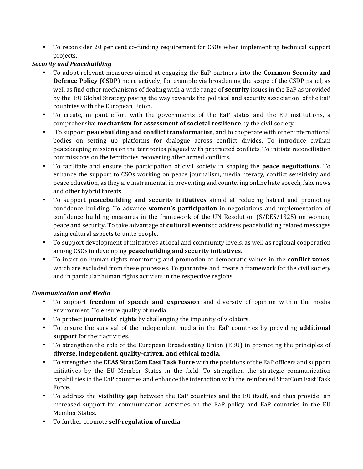• To reconsider 20 per cent co-funding requirement for CSOs when implementing technical support projects.

# *Security)and)Peacebuilding*

- To adopt relevant measures aimed at engaging the EaP partners into the **Common Security and Defence Policy (CSDP)** more actively, for example via broadening the scope of the CSDP panel, as well as find other mechanisms of dealing with a wide range of **security** issues in the EaP as provided by the EU Global Strategy paving the way towards the political and security association of the EaP countries with the European Union.
- To create, in joint effort with the governments of the EaP states and the EU institutions, a comprehensive **mechanism for assessment of societal resilience** by the civil society.
- To support **peacebuilding and conflict transformation**, and to cooperate with other international bodies on setting up platforms for dialogue across conflict divides. To introduce civilian peacekeeping missions on the territories plagued with protracted conflicts. To initiate reconciliation commissions on the territories recovering after armed conflicts.
- To facilitate and ensure the participation of civil society in shaping the **peace negotiations.** To enhance the support to CSOs working on peace journalism, media literacy, conflict sensitivity and peace education, as they are instrumental in preventing and countering online hate speech, fake news and other hybrid threats.
- To support **peacebuilding and security initiatives** aimed at reducing hatred and promoting confidence building. To advance women's participation in negotiations and implementation of confidence building measures in the framework of the UN Resolution  $(S/RES/1325)$  on women, peace and security. To take advantage of **cultural events** to address peacebuilding related messages using cultural aspects to unite people.
- To support development of initiatives at local and community levels, as well as regional cooperation among CSOs in developing **peacebuilding and security initiatives**.
- To insist on human rights monitoring and promotion of democratic values in the **conflict zones**, which are excluded from these processes. To guarantee and create a framework for the civil society and in particular human rights activists in the respective regions.

## *Communication)and)Media*

- To support **freedom of speech and expression** and diversity of opinion within the media environment. To ensure quality of media.
- To protect **journalists' rights** by challenging the impunity of violators.
- To ensure the survival of the independent media in the EaP countries by providing **additional** support for their activities.
- To strengthen the role of the European Broadcasting Union (EBU) in promoting the principles of diverse, independent, quality-driven, and ethical media.
- To strengthen the **EEAS StratCom East Task Force** with the positions of the EaP officers and support initiatives by the EU Member States in the field. To strengthen the strategic communication capabilities in the EaP countries and enhance the interaction with the reinforced StratCom East Task Force.
- To address the **visibility gap** between the EaP countries and the EU itself, and thus provide an increased support for communication activities on the EaP policy and EaP countries in the EU Member States.
- To further promote **self-regulation of media**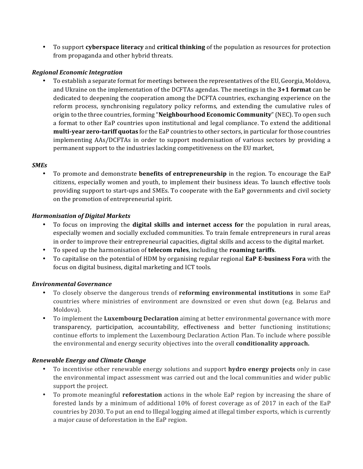• To support **cyberspace literacy** and **critical thinking** of the population as resources for protection from propaganda and other hybrid threats.

## *Regional)Economic)Integration*

To establish a separate format for meetings between the representatives of the EU, Georgia, Moldova, and Ukraine on the implementation of the DCFTAs agendas. The meetings in the 3+1 format can be dedicated to deepening the cooperation among the DCFTA countries, exchanging experience on the reform process, synchronising regulatory policy reforms, and extending the cumulative rules of origin to the three countries, forming "**Neighbourhood Economic Community**" (NEC). To open such a format to other EaP countries upon institutional and legal compliance. To extend the additional **multi-year zero-tariff quotas** for the EaP countries to other sectors, in particular for those countries implementing AAs/DCFTAs in order to support modernisation of various sectors by providing a permanent support to the industries lacking competitiveness on the EU market,

#### *SMEs*

To promote and demonstrate **benefits of entrepreneurship** in the region. To encourage the EaP citizens, especially women and youth, to implement their business ideas. To launch effective tools providing support to start-ups and SMEs. To cooperate with the EaP governments and civil society on the promotion of entrepreneurial spirit.

#### *Harmonisation)of)Digital)Markets*

- To focus on improving the **digital skills and internet access for** the population in rural areas, especially women and socially excluded communities. To train female entrepreneurs in rural areas in order to improve their entrepreneurial capacities, digital skills and access to the digital market.
- To speed up the harmonisation of **telecom rules**, including the **roaming tariffs**.
- To capitalise on the potential of HDM by organising regular regional **EaP E-business Fora** with the focus on digital business, digital marketing and ICT tools.

#### *Environmental)Governance*

- To closely observe the dangerous trends of **reforming environmental institutions** in some EaP countries where ministries of environment are downsized or even shut down (e.g. Belarus and Moldova).
- To implement the **Luxembourg Declaration** aiming at better environmental governance with more transparency, participation, accountability, effectiveness and better functioning institutions; continue efforts to implement the Luxembourg Declaration Action Plan. To include where possible the environmental and energy security objectives into the overall **conditionality approach.**

## *Renewable)Energy)and)Climate)Change*

- To incentivise other renewable energy solutions and support **hydro energy projects** only in case the environmental impact assessment was carried out and the local communities and wider public support the project.
- To promote meaningful **reforestation** actions in the whole EaP region by increasing the share of forested lands by a minimum of additional  $10\%$  of forest coverage as of 2017 in each of the EaP countries by 2030. To put an end to Illegal logging aimed at illegal timber exports, which is currently a major cause of deforestation in the EaP region.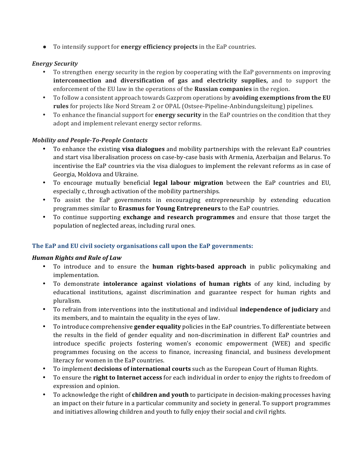• To intensify support for **energy efficiency projects** in the EaP countries.

# *Energy)Security*

- To strengthen energy security in the region by cooperating with the EaP governments on improving **interconnection and diversification of gas and electricity supplies,** and to support the enforcement of the EU law in the operations of the **Russian companies** in the region.
- To follow a consistent approach towards Gazprom operations by **avoiding exemptions from the EU** rules for projects like Nord Stream 2 or OPAL (Ostsee-Pipeline-Anbindungsleitung) pipelines.
- To enhance the financial support for **energy security** in the EaP countries on the condition that they adopt and implement relevant energy sector reforms.

# *Mobility and People-To-People Contacts*

- To enhance the existing **visa dialogues** and mobility partnerships with the relevant EaP countries and start visa liberalisation process on case-by-case basis with Armenia, Azerbaijan and Belarus. To incentivise the EaP countries via the visa dialogues to implement the relevant reforms as in case of Georgia, Moldova and Ukraine.
- To encourage mutually beneficial **legal labour migration** between the EaP countries and EU, especially c, through activation of the mobility partnerships.
- To assist the EaP governments in encouraging entrepreneurship by extending education programmes similar to **Erasmus for Young Entrepreneurs** to the EaP countries.
- To continue supporting **exchange and research programmes** and ensure that those target the population of neglected areas, including rural ones.

# The EaP and EU civil society organisations call upon the EaP governments:

## *Human Rights and Rule of Law*

- To introduce and to ensure the **human rights-based approach** in public policymaking and implementation.
- To demonstrate **intolerance against violations of human rights** of any kind, including by educational institutions, against discrimination and guarantee respect for human rights and pluralism.!
- To refrain from interventions into the institutional and individual **independence of judiciary** and its members, and to maintain the equality in the eyes of law.
- To introduce comprehensive **gender equality** policies in the EaP countries. To differentiate between the results in the field of gender equality and non-discrimination in different EaP countries and introduce specific projects fostering women's economic empowerment (WEE) and specific programmes focusing on the access to finance, increasing financial, and business development literacy for women in the EaP countries.
- To implement **decisions of international courts** such as the European Court of Human Rights.
- To ensure the **right to Internet access** for each individual in order to enjoy the rights to freedom of expression and opinion.
- To acknowledge the right of **children and youth** to participate in decision-making processes having an impact on their future in a particular community and society in general. To support programmes and initiatives allowing children and youth to fully enjoy their social and civil rights.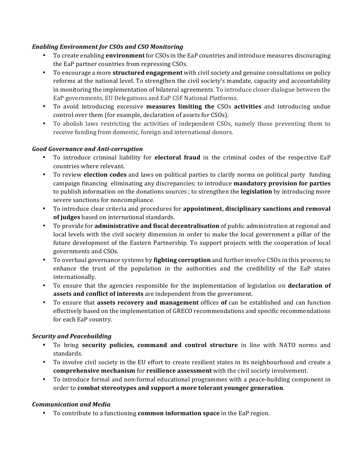# *Enabling)Environment)for)CSOs)and)CSO)Monitoring*

- To create enabling *environment* for CSOs in the EaP countries and introduce measures discouraging the EaP partner countries from repressing CSOs.
- To encourage a more **structured engagement** with civil society and genuine consultations on policy reforms at the national level. To strengthen the civil society's mandate, capacity and accountability in monitoring the implementation of bilateral agreements. To introduce closer dialogue between the EaP governments, EU Delegations and EaP CSF National Platforms.
- To avoid introducing excessive **measures limiting the** CSOs **activities** and introducing undue control over them (for example, declaration of assets for CSOs).
- To abolish laws restricting the activities of independent CSOs, namely those preventing them to receive funding from domestic, foreign and international donors.

#### **Good Governance and Anti-corruption**

- To introduce criminal liability for **electoral fraud** in the criminal codes of the respective EaP countries where relevant.
- To review **election codes** and laws on political parties to clarify norms on political party funding campaign financing eliminating any discrepancies; to introduce **mandatory provision for parties** to publish information on the donations sources ; to strengthen the **legislation** by introducing more severe sanctions for noncompliance.
- To introduce clear criteria and procedures for **appointment, disciplinary sanctions and removal of judges** based on international standards.
- To provide for **administrative and fiscal decentralisation** of public administration at regional and local levels with the civil society dimension in order to make the local government a pillar of the future development of the Eastern Partnership. To support projects with the cooperation of local governments and CSOs.
- To overhaul governance systems by **fighting corruption** and further involve CSOs in this process; to enhance the trust of the population in the authorities and the credibility of the EaP states internationally.
- To ensure that the agencies responsible for the implementation of legislation on **declaration of assets and conflict of interests** are independent from the government.
- To ensure that **assets recovery and management** offices of can be established and can function effectively based on the implementation of GRECO recommendations and specific recommendations for each EaP country.

## *Security)and)Peacebuilding*

- To bring **security policies, command and control structure** in line with NATO norms and standards.
- To involve civil society in the EU effort to create resilient states in its neighbourhood and create a **comprehensive mechanism** for **resilience assessment** with the civil society involvement.
- To introduce formal and non-formal educational programmes with a peace-building component in order to **combat stereotypes and support a more tolerant younger generation**.

## *Communication)and)Media*

• To contribute to a functioning **common information space** in the EaP region.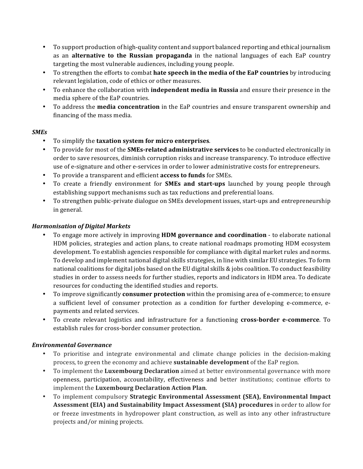- To support production of high-quality content and support balanced reporting and ethical journalism as an **alternative to the Russian propaganda** in the national languages of each EaP country targeting the most vulnerable audiences, including young people.
- To strengthen the efforts to combat **hate speech in the media of the EaP countries** by introducing relevant legislation, code of ethics or other measures.
- To enhance the collaboration with **independent media in Russia** and ensure their presence in the media sphere of the EaP countries.
- To address the **media concentration** in the EaP countries and ensure transparent ownership and financing of the mass media.

# *SMEs*

- To simplify the **taxation system for micro enterprises**.
- To provide for most of the **SMEs-related administrative services** to be conducted electronically in order to save resources, diminish corruption risks and increase transparency. To introduce effective use of e-signature and other e-services in order to lower administrative costs for entrepreneurs.
- To provide a transparent and efficient **access to funds** for SMEs.
- To create a friendly environment for **SMEs and start-ups** launched by young people through establishing support mechanisms such as tax reductions and preferential loans.
- To strengthen public-private dialogue on SMEs development issues, start-ups and entrepreneurship in general.

# *Harmonisation)of)Digital)Markets*

- To engage more actively in improving **HDM governance and coordination** to elaborate national HDM policies, strategies and action plans, to create national roadmaps promoting HDM ecosystem development. To establish agencies responsible for compliance with digital market rules and norms. To develop and implement national digital skills strategies, in line with similar EU strategies. To form national coalitions for digital jobs based on the EU digital skills  $\&$  jobs coalition. To conduct feasibility studies in order to assess needs for further studies, reports and indicators in HDM area. To dedicate resources for conducting the identified studies and reports.
- To improve significantly **consumer protection** within the promising area of e-commerce; to ensure a sufficient level of consumer protection as a condition for further developing e-commerce, epayments and related services.
- To create relevant logistics and infrastructure for a functioning **cross-border e-commerce**. To establish rules for cross-border consumer protection.

## *Environmental)Governance*

- To prioritise and integrate environmental and climate change policies in the decision-making process, to green the economy and achieve **sustainable development** of the EaP region.
- To implement the Luxembourg Declaration aimed at better environmental governance with more openness, participation, accountability, effectiveness and better institutions; continue efforts to implement the Luxembourg Declaration Action Plan.
- To implement compulsory **Strategic Environmental Assessment (SEA), Environmental Impact Assessment (EIA) and Sustainability Impact Assessment (SIA) procedures** in order to allow for or freeze investments in hydropower plant construction, as well as into any other infrastructure projects and/or mining projects.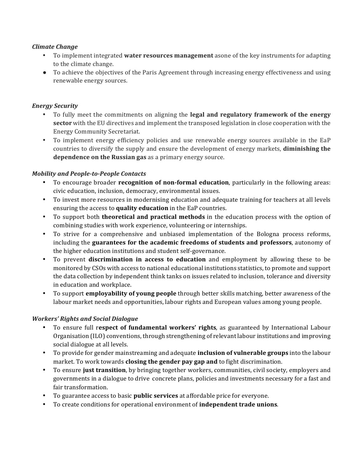## *Climate Change*

- To implement integrated water resources management asone of the key instruments for adapting to the climate change.
- To achieve the objectives of the Paris Agreement through increasing energy effectiveness and using renewable energy sources.

## *Energy)Security*

- To fully meet the commitments on aligning the **legal and regulatory framework of the energy sector** with the EU directives and implement the transposed legislation in close cooperation with the Energy!Community!Secretariat.
- To implement energy efficiency policies and use renewable energy sources available in the EaP countries to diversify the supply and ensure the development of energy markets, **diminishing the dependence on the Russian gas** as a primary energy source.

#### **Mobility and People-to-People Contacts**

- To encourage broader **recognition of non-formal education**, particularly in the following areas: civic education, inclusion, democracy, environmental issues.
- To invest more resources in modernising education and adequate training for teachers at all levels ensuring the access to quality education in the EaP countries.
- To support both **theoretical and practical methods** in the education process with the option of combining studies with work experience, volunteering or internships.
- To strive for a comprehensive and unbiased implementation of the Bologna process reforms, including the **guarantees for the academic freedoms of students and professors**, autonomy of the higher education institutions and student self-governance.
- To prevent **discrimination in access to education** and employment by allowing these to be monitored by CSOs with access to national educational institutions statistics, to promote and support the data collection by independent think tanks on issues related to inclusion, tolerance and diversity in education and workplace.
- To support **employability of young people** through better skills matching, better awareness of the labour market needs and opportunities, labour rights and European values among young people.

#### *Workers')Rights)and)Social)Dialogue*

- To ensure full respect of fundamental workers' rights, as guaranteed by International Labour Organisation (ILO) conventions, through strengthening of relevant labour institutions and improving social dialogue at all levels.
- To provide for gender mainstreaming and adequate **inclusion of vulnerable groups** into the labour market. To work towards closing the gender pay gap and to fight discrimination.
- To ensure **just transition**, by bringing together workers, communities, civil society, employers and governments in a dialogue to drive concrete plans, policies and investments necessary for a fast and fair transformation.
- To guarantee access to basic **public services** at affordable price for everyone.
- To create conditions for operational environment of **independent trade unions**.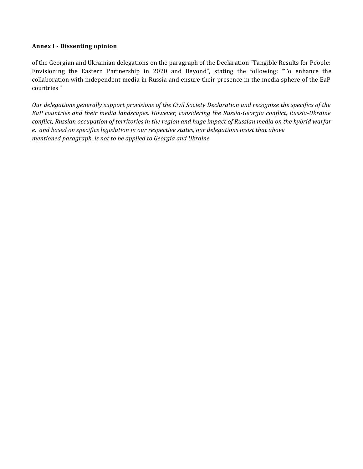## **Annex I - Dissenting%opinion**

of the Georgian and Ukrainian delegations on the paragraph of the Declaration "Tangible Results for People: Envisioning the Eastern Partnership in 2020 and Beyond", stating the following: "To enhance the collaboration with independent media in Russia and ensure their presence in the media sphere of the EaP countries"

*Our delegations generally support provisions of the Civil Society Declaration and recognize the specifics of the EaP* countries and their media landscapes. However, considering the Russia-Georgia conflict, Russia-Ukraine *conflict, Russian occupation of territories in the region and huge impact of Russian media on the hybrid warfar*  $e$ , and based on specifics legislation in our respective states, our delegations insist that above *mentioned paragraph is not to be applied to Georgia and Ukraine.*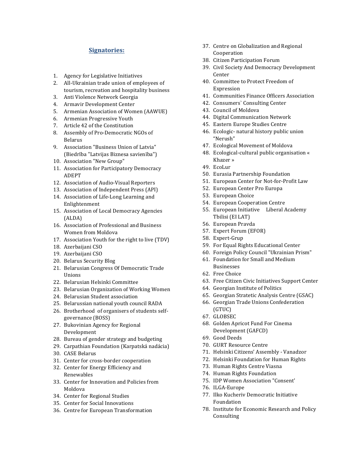#### **Signatories:**

- 1. Agency for Legislative Initiatives
- 2. All-Ukrainian trade union of employees of tourism, recreation and hospitality business
- 3. Anti Violence Network Georgia
- 4. Armavir Development Center
- 5. Armenian Association of Women (AAWUE)
- 6. Armenian Progressive Youth
- 7. Article 42 of the Constitution
- 8. Assembly of Pro-Democratic NGOs of Belarus
- 9. Association "Business Union of Latvia" (Biedrība "Latvijas Biznesa savienība")
- 10. Association "New Group"
- 11. Association for Participatory Democracy ADEPT
- 12. Association of Audio-Visual Reporters
- 13. Association of Independent Press (API)
- 14. Association of Life-Long Learning and Enlightenment
- 15. Association of Local Democracy Agencies (ALDA)
- 16. Association of Professional and Business Women from Moldova
- 17. Association Youth for the right to live (TDV)
- 18. Azerbaijani CSO
- 19. Azerbaijani CSO
- 20. Belarus Security Blog
- 21. Belarusian Congress Of Democratic Trade Unions
- 22. Belarusian Helsinki Committee
- 23. Belarusian Organization of Working Women
- 24. Belarusian Student association
- 25. Belarussian national youth council RADA
- 26. Brotherhood of organisers of students selfgovernance (BOSS)
- 27. Bukovinian Agency for Regional Development
- 28. Bureau of gender strategy and budgeting
- 29. Carpathian Foundation (Karpatská nadácia)
- 30. CASE Belarus
- 31. Center for cross-border cooperation
- 32. Center for Energy Efficiency and Renewables
- 33. Center for Innovation and Policies from Moldova<sub>!</sub>
- 34. Center for Regional Studies
- 35. Center for Social Innovations
- 36. Centre for European Transformation
- 37. Centre on Globalization and Regional Cooperation
- 38. Citizen Participation Forum
- 39. Civil Society And Democracy Development Center
- 40. Committee to Protect Freedom of Expression
- 41. Communities Finance Officers Association
- 42. Consumers' Consulting Center
- 43. Council of Moldova
- 44. Digital Communication Network
- 45. Eastern Europe Studies Centre
- 46. Ecologic- natural history public union "Nerush"
- 47. Ecological Movement of Moldova
- 48. Ecological-cultural public organisation « Khazer »
- 49. EcoLur
- 50. Eurasia Partnership Foundation
- 51. European Center for Not-for-Profit Law
- 52. European Center Pro Europa
- 53. European Choice
- 54. European Cooperation Centre
- 55. European Initiative Liberal Academy Tbilisi (EI LAT)
- 56. European!Pravda
- 57. Expert Forum (EFOR)
- 58. Expert-Grup
- 59. For Equal Rights Educational Center
- 60. Foreign Policy Council "Ukrainian Prism"
- 61. Foundation for Small and Medium Businesses
- 62. Free Choice
- 63. Free Citizen Civic Initiatives Support Center
- 64. Georgian Institute of Politics
- 65. Georgian Stratetic Analysis Centre (GSAC)
- 66. Georgian Trade Unions Confederation (GTUC)
- 67. GLOBSEC
- 68. Golden Apricot Fund For Cinema Development (GAFCD)
- 69. Good Deeds
- 70. GURT Resource Centre
- 71. Helsinki Citizens' Assembly Vanadzor
- 72. Helsinki Foundation for Human Rights
- 73. Human Rights Centre Viasna
- 74. Human Rights Foundation
- 75. IDP Women Association "Consent'
- 76. ILGA-Europe
- 77. Ilko Kucheriv Democratic Initiative Foundation!
- 78. Institute for Economic Research and Policy Consulting